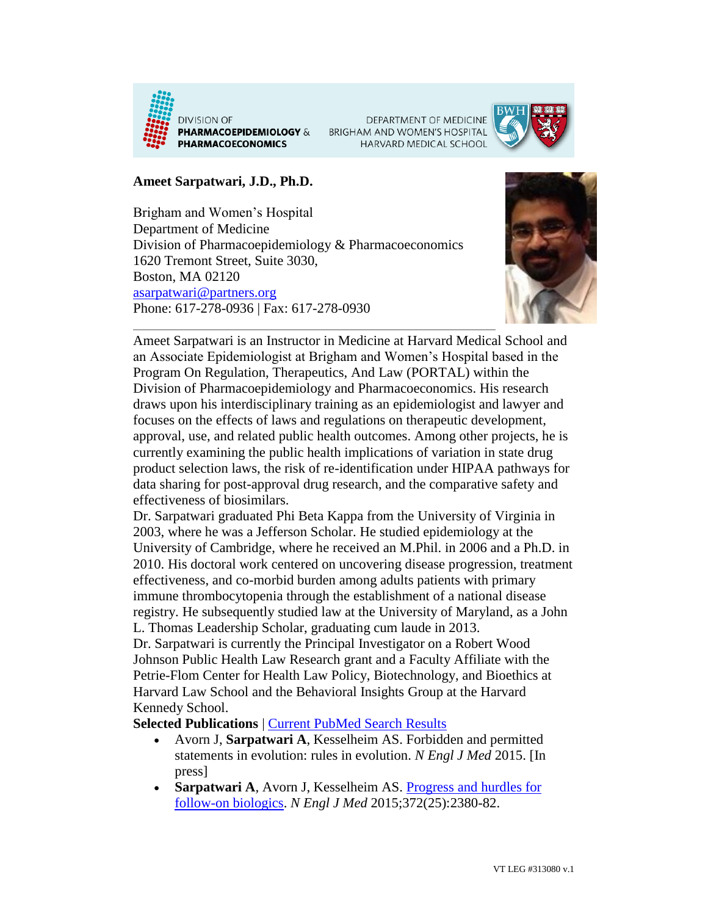

DEPARTMENT OF MEDICINE BRIGHAM AND WOMEN'S HOSPITAL HARVARD MEDICAL SCHOOL



## **Ameet Sarpatwari, J.D., Ph.D.**

Brigham and Women's Hospital Department of Medicine Division of Pharmacoepidemiology & Pharmacoeconomics 1620 Tremont Street, Suite 3030, Boston, MA 02120 [asarpatwari@partners.org](mailto:asarpatwari@partners.org) Phone: 617-278-0936 | Fax: 617-278-0930



Ameet Sarpatwari is an Instructor in Medicine at Harvard Medical School and an Associate Epidemiologist at Brigham and Women's Hospital based in the Program On Regulation, Therapeutics, And Law (PORTAL) within the Division of Pharmacoepidemiology and Pharmacoeconomics. His research draws upon his interdisciplinary training as an epidemiologist and lawyer and focuses on the effects of laws and regulations on therapeutic development, approval, use, and related public health outcomes. Among other projects, he is currently examining the public health implications of variation in state drug product selection laws, the risk of re-identification under HIPAA pathways for data sharing for post-approval drug research, and the comparative safety and effectiveness of biosimilars.

Dr. Sarpatwari graduated Phi Beta Kappa from the University of Virginia in 2003, where he was a Jefferson Scholar. He studied epidemiology at the University of Cambridge, where he received an M.Phil. in 2006 and a Ph.D. in 2010. His doctoral work centered on uncovering disease progression, treatment effectiveness, and co-morbid burden among adults patients with primary immune thrombocytopenia through the establishment of a national disease registry. He subsequently studied law at the University of Maryland, as a John L. Thomas Leadership Scholar, graduating cum laude in 2013.

Dr. Sarpatwari is currently the Principal Investigator on a Robert Wood Johnson Public Health Law Research grant and a Faculty Affiliate with the Petrie-Flom Center for Health Law Policy, Biotechnology, and Bioethics at Harvard Law School and the Behavioral Insights Group at the Harvard Kennedy School.

**Selected Publications** | [Current PubMed Search Results](http://www.ncbi.nlm.nih.gov/pubmed/?term=%22Sarpatwari+A%22%5BAuthor%5D)

- Avorn J, **Sarpatwari A**, Kesselheim AS. Forbidden and permitted statements in evolution: rules in evolution. *N Engl J Med* 2015. [In press]
- **Sarpatwari A**, Avorn J, Kesselheim AS. Progress and hurdles for [follow-on biologics.](http://www.ncbi.nlm.nih.gov/pubmed/?term=.+Progress+and+hurdles+for+follow-on+biologics.) *N Engl J Med* 2015;372(25):2380-82.